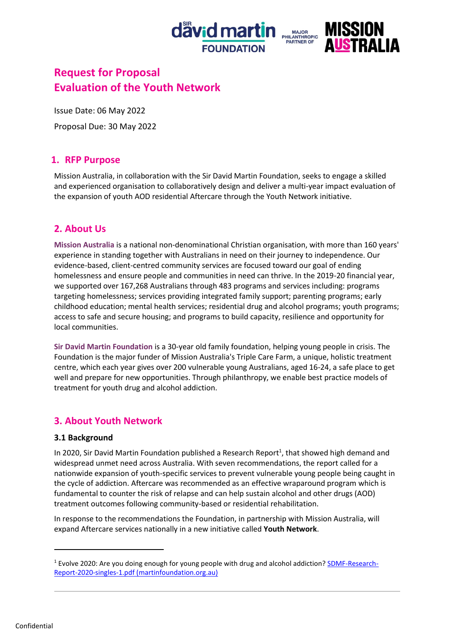



# **Request for Proposal Evaluation of the Youth Network**

Issue Date: 06 May 2022

Proposal Due: 30 May 2022

## **1. RFP Purpose**

Mission Australia, in collaboration with the Sir David Martin Foundation, seeks to engage a skilled and experienced organisation to collaboratively design and deliver a multi-year impact evaluation of the expansion of youth AOD residential Aftercare through the Youth Network initiative.

## **2. About Us**

**Mission Australia** is a national non-denominational Christian organisation, with more than 160 years' experience in standing together with Australians in need on their journey to independence. Our evidence-based, client-centred community services are focused toward our goal of ending homelessness and ensure people and communities in need can thrive. In the 2019-20 financial year, we supported over 167,268 Australians through 483 programs and services including: programs targeting homelessness; services providing integrated family support; parenting programs; early childhood education; mental health services; residential drug and alcohol programs; youth programs; access to safe and secure housing; and programs to build capacity, resilience and opportunity for local communities.

**Sir David Martin Foundation** is a 30-year old family foundation, helping young people in crisis. The Foundation is the major funder of Mission Australia's Triple Care Farm, a unique, holistic treatment centre, which each year gives over 200 vulnerable young Australians, aged 16-24, a safe place to get well and prepare for new opportunities. Through philanthropy, we enable best practice models of treatment for youth drug and alcohol addiction.

## **3. About Youth Network**

## **3.1 Background**

In 2020, Sir David Martin Foundation published a Research Report<sup>1</sup>, that showed high demand and widespread unmet need across Australia. With seven recommendations, the report called for a nationwide expansion of youth-specific services to prevent vulnerable young people being caught in the cycle of addiction. Aftercare was recommended as an effective wraparound program which is fundamental to counter the risk of relapse and can help sustain alcohol and other drugs (AOD) treatment outcomes following community-based or residential rehabilitation.

In response to the recommendations the Foundation, in partnership with Mission Australia, will expand Aftercare services nationally in a new initiative called **Youth Network**.

<sup>&</sup>lt;sup>1</sup> Evolve 2020: Are you doing enough for young people with drug and alcohol addiction? **SDMF-Research-**[Report-2020-singles-1.pdf \(martinfoundation.org.au\)](https://martinfoundation.org.au/wp-content/uploads/dlm_uploads/2020/08/SDMF-Research-Report-2020-singles-1.pdf)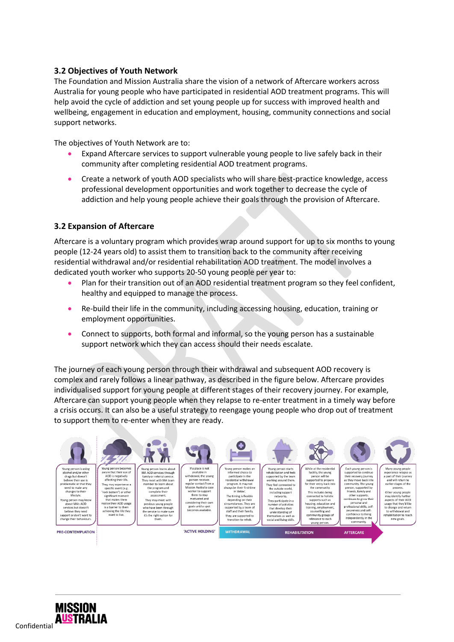### **3.2 Objectives of Youth Network**

The Foundation and Mission Australia share the vision of a network of Aftercare workers across Australia for young people who have participated in residential AOD treatment programs. This will help avoid the cycle of addiction and set young people up for success with improved health and wellbeing, engagement in education and employment, housing, community connections and social support networks.

The objectives of Youth Network are to:

- Expand Aftercare services to support vulnerable young people to live safely back in their community after completing residential AOD treatment programs.
- Create a network of youth AOD specialists who will share best-practice knowledge, access professional development opportunities and work together to decrease the cycle of addiction and help young people achieve their goals through the provision of Aftercare.

### **3.2 Expansion of Aftercare**

Aftercare is a voluntary program which provides wrap around support for up to six months to young people (12-24 years old) to assist them to transition back to the community after receiving residential withdrawal and/or residential rehabilitation AOD treatment. The model involves a dedicated youth worker who supports 20-50 young people per year to:

- Plan for their transition out of an AOD residential treatment program so they feel confident, healthy and equipped to manage the process.
- Re-build their life in the community, including accessing housing, education, training or employment opportunities.
- Connect to supports, both formal and informal, so the young person has a sustainable support network which they can access should their needs escalate.

The journey of each young person through their withdrawal and subsequent AOD recovery is complex and rarely follows a linear pathway, as described in the figure below. Aftercare provides individualised support for young people at different stages of their recovery journey. For example, Aftercare can support young people when they relapse to re-enter treatment in a timely way before a crisis occurs. It can also be a useful strategy to reengage young people who drop out of treatment to support them to re-enter when they are ready.



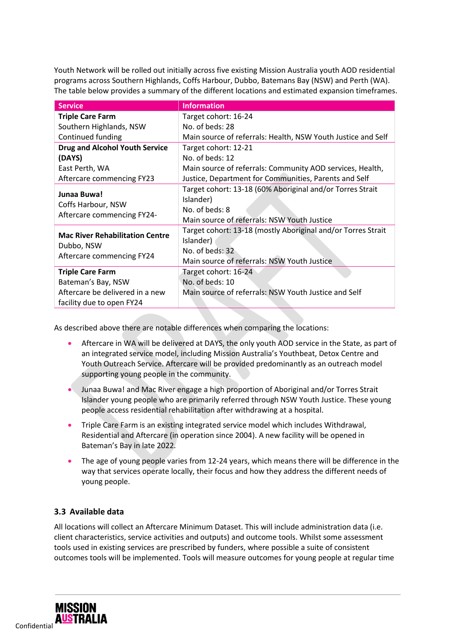Youth Network will be rolled out initially across five existing Mission Australia youth AOD residential programs across Southern Highlands, Coffs Harbour, Dubbo, Batemans Bay (NSW) and Perth (WA). The table below provides a summary of the different locations and estimated expansion timeframes.

| <b>Service</b>                                                                    | <b>Information</b>                                                                                                                          |
|-----------------------------------------------------------------------------------|---------------------------------------------------------------------------------------------------------------------------------------------|
| <b>Triple Care Farm</b>                                                           | Target cohort: 16-24                                                                                                                        |
| Southern Highlands, NSW                                                           | No. of beds: 28                                                                                                                             |
| Continued funding                                                                 | Main source of referrals: Health, NSW Youth Justice and Self                                                                                |
| <b>Drug and Alcohol Youth Service</b>                                             | Target cohort: 12-21                                                                                                                        |
| (DAYS)                                                                            | No. of beds: 12                                                                                                                             |
| East Perth, WA                                                                    | Main source of referrals: Community AOD services, Health,                                                                                   |
| Aftercare commencing FY23                                                         | Justice, Department for Communities, Parents and Self                                                                                       |
| Junaa Buwa!<br>Coffs Harbour, NSW                                                 | Target cohort: 13-18 (60% Aboriginal and/or Torres Strait<br>Islander)<br>No. of beds: 8                                                    |
| Aftercare commencing FY24-                                                        | Main source of referrals: NSW Youth Justice                                                                                                 |
| <b>Mac River Rehabilitation Centre</b><br>Dubbo, NSW<br>Aftercare commencing FY24 | Target cohort: 13-18 (mostly Aboriginal and/or Torres Strait<br>Islander)<br>No. of beds: 32<br>Main source of referrals: NSW Youth Justice |
| <b>Triple Care Farm</b>                                                           | Target cohort: 16-24                                                                                                                        |
| Bateman's Bay, NSW                                                                | No. of beds: 10                                                                                                                             |
| Aftercare be delivered in a new<br>facility due to open FY24                      | Main source of referrals: NSW Youth Justice and Self                                                                                        |

As described above there are notable differences when comparing the locations:

- Aftercare in WA will be delivered at DAYS, the only youth AOD service in the State, as part of an integrated service model, including Mission Australia's Youthbeat, Detox Centre and Youth Outreach Service. Aftercare will be provided predominantly as an outreach model supporting young people in the community.
- Junaa Buwa! and Mac River engage a high proportion of Aboriginal and/or Torres Strait Islander young people who are primarily referred through NSW Youth Justice. These young people access residential rehabilitation after withdrawing at a hospital.
- Triple Care Farm is an existing integrated service model which includes Withdrawal, Residential and Aftercare (in operation since 2004). A new facility will be opened in Bateman's Bay in late 2022.
- The age of young people varies from 12-24 years, which means there will be difference in the way that services operate locally, their focus and how they address the different needs of young people.

## **3.3 Available data**

All locations will collect an Aftercare Minimum Dataset. This will include administration data (i.e. client characteristics, service activities and outputs) and outcome tools. Whilst some assessment tools used in existing services are prescribed by funders, where possible a suite of consistent outcomes tools will be implemented. Tools will measure outcomes for young people at regular time

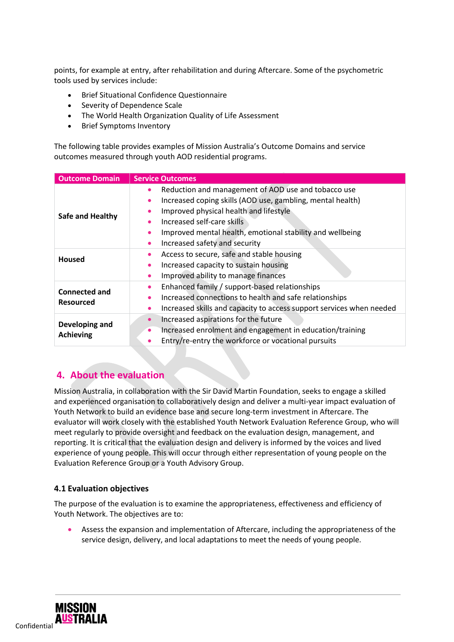points, for example at entry, after rehabilitation and during Aftercare. Some of the psychometric tools used by services include:

- Brief Situational Confidence Questionnaire
- Severity of Dependence Scale
- The World Health Organization Quality of Life Assessment
- Brief Symptoms Inventory

The following table provides examples of Mission Australia's Outcome Domains and service outcomes measured through youth AOD residential programs.

| <b>Outcome Domain</b>                    | <b>Service Outcomes</b>                                                                                                                                                                                                                                                                                                                                  |  |
|------------------------------------------|----------------------------------------------------------------------------------------------------------------------------------------------------------------------------------------------------------------------------------------------------------------------------------------------------------------------------------------------------------|--|
| Safe and Healthy                         | Reduction and management of AOD use and tobacco use<br>$\bullet$<br>Increased coping skills (AOD use, gambling, mental health)<br>$\bullet$<br>Improved physical health and lifestyle<br>$\bullet$<br>Increased self-care skills<br>Improved mental health, emotional stability and wellbeing<br>$\bullet$<br>Increased safety and security<br>$\bullet$ |  |
| <b>Housed</b>                            | Access to secure, safe and stable housing<br>٠<br>Increased capacity to sustain housing<br>$\bullet$<br>Improved ability to manage finances<br>$\bullet$                                                                                                                                                                                                 |  |
| <b>Connected and</b><br><b>Resourced</b> | Enhanced family / support-based relationships<br>$\bullet$<br>Increased connections to health and safe relationships<br>$\bullet$<br>Increased skills and capacity to access support services when needed<br>$\bullet$                                                                                                                                   |  |
| Developing and<br><b>Achieving</b>       | Increased aspirations for the future<br>$\bullet$<br>Increased enrolment and engagement in education/training<br>$\bullet$<br>Entry/re-entry the workforce or vocational pursuits<br>$\bullet$                                                                                                                                                           |  |

## **4. About the evaluation**

Mission Australia, in collaboration with the Sir David Martin Foundation, seeks to engage a skilled and experienced organisation to collaboratively design and deliver a multi-year impact evaluation of Youth Network to build an evidence base and secure long-term investment in Aftercare. The evaluator will work closely with the established Youth Network Evaluation Reference Group, who will meet regularly to provide oversight and feedback on the evaluation design, management, and reporting. It is critical that the evaluation design and delivery is informed by the voices and lived experience of young people. This will occur through either representation of young people on the Evaluation Reference Group or a Youth Advisory Group.

### **4.1 Evaluation objectives**

The purpose of the evaluation is to examine the appropriateness, effectiveness and efficiency of Youth Network. The objectives are to:

• Assess the expansion and implementation of Aftercare, including the appropriateness of the service design, delivery, and local adaptations to meet the needs of young people.

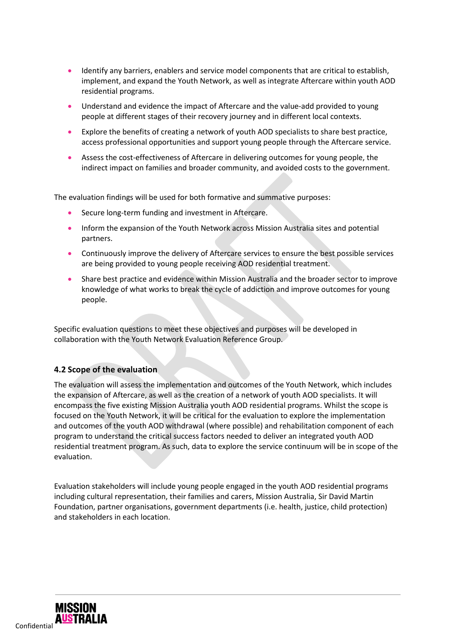- Identify any barriers, enablers and service model components that are critical to establish, implement, and expand the Youth Network, as well as integrate Aftercare within youth AOD residential programs.
- Understand and evidence the impact of Aftercare and the value-add provided to young people at different stages of their recovery journey and in different local contexts.
- Explore the benefits of creating a network of youth AOD specialists to share best practice, access professional opportunities and support young people through the Aftercare service.
- Assess the cost-effectiveness of Aftercare in delivering outcomes for young people, the indirect impact on families and broader community, and avoided costs to the government.

The evaluation findings will be used for both formative and summative purposes:

- Secure long-term funding and investment in Aftercare.
- Inform the expansion of the Youth Network across Mission Australia sites and potential partners.
- Continuously improve the delivery of Aftercare services to ensure the best possible services are being provided to young people receiving AOD residential treatment.
- Share best practice and evidence within Mission Australia and the broader sector to improve knowledge of what works to break the cycle of addiction and improve outcomes for young people.

Specific evaluation questions to meet these objectives and purposes will be developed in collaboration with the Youth Network Evaluation Reference Group.

### **4.2 Scope of the evaluation**

The evaluation will assess the implementation and outcomes of the Youth Network, which includes the expansion of Aftercare, as well as the creation of a network of youth AOD specialists. It will encompass the five existing Mission Australia youth AOD residential programs. Whilst the scope is focused on the Youth Network, it will be critical for the evaluation to explore the implementation and outcomes of the youth AOD withdrawal (where possible) and rehabilitation component of each program to understand the critical success factors needed to deliver an integrated youth AOD residential treatment program. As such, data to explore the service continuum will be in scope of the evaluation.

Evaluation stakeholders will include young people engaged in the youth AOD residential programs including cultural representation, their families and carers, Mission Australia, Sir David Martin Foundation, partner organisations, government departments (i.e. health, justice, child protection) and stakeholders in each location.

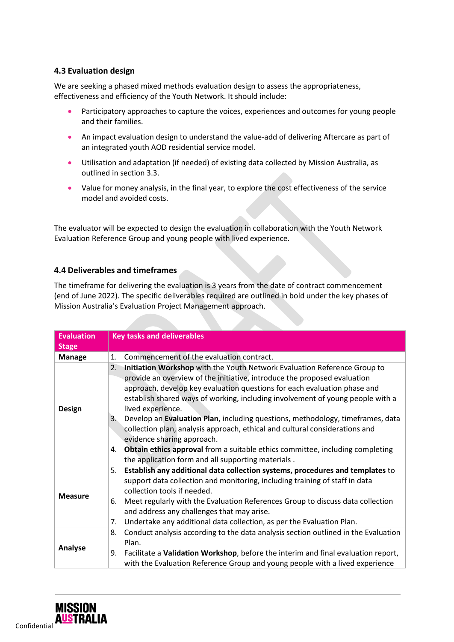### **4.3 Evaluation design**

We are seeking a phased mixed methods evaluation design to assess the appropriateness, effectiveness and efficiency of the Youth Network. It should include:

- Participatory approaches to capture the voices, experiences and outcomes for young people and their families.
- An impact evaluation design to understand the value-add of delivering Aftercare as part of an integrated youth AOD residential service model.
- Utilisation and adaptation (if needed) of existing data collected by Mission Australia, as outlined in section 3.3.
- Value for money analysis, in the final year, to explore the cost effectiveness of the service model and avoided costs.

The evaluator will be expected to design the evaluation in collaboration with the Youth Network Evaluation Reference Group and young people with lived experience.

### **4.4 Deliverables and timeframes**

The timeframe for delivering the evaluation is 3 years from the date of contract commencement (end of June 2022). The specific deliverables required are outlined in bold under the key phases of Mission Australia's Evaluation Project Management approach.

| <b>Evaluation</b> | <b>Key tasks and deliverables</b>                                                                                                                                                                                                                                                                                                                                                                                                                                                                                                                                                                                                                                                                      |  |  |
|-------------------|--------------------------------------------------------------------------------------------------------------------------------------------------------------------------------------------------------------------------------------------------------------------------------------------------------------------------------------------------------------------------------------------------------------------------------------------------------------------------------------------------------------------------------------------------------------------------------------------------------------------------------------------------------------------------------------------------------|--|--|
| <b>Stage</b>      |                                                                                                                                                                                                                                                                                                                                                                                                                                                                                                                                                                                                                                                                                                        |  |  |
| <b>Manage</b>     | Commencement of the evaluation contract.<br>1.                                                                                                                                                                                                                                                                                                                                                                                                                                                                                                                                                                                                                                                         |  |  |
| <b>Design</b>     | 2.<br>Initiation Workshop with the Youth Network Evaluation Reference Group to<br>provide an overview of the initiative, introduce the proposed evaluation<br>approach, develop key evaluation questions for each evaluation phase and<br>establish shared ways of working, including involvement of young people with a<br>lived experience.<br>3.<br>Develop an Evaluation Plan, including questions, methodology, timeframes, data<br>collection plan, analysis approach, ethical and cultural considerations and<br>evidence sharing approach.<br><b>Obtain ethics approval from a suitable ethics committee, including completing</b><br>4.<br>the application form and all supporting materials. |  |  |
| <b>Measure</b>    | Establish any additional data collection systems, procedures and templates to<br>5.<br>support data collection and monitoring, including training of staff in data<br>collection tools if needed.<br>Meet regularly with the Evaluation References Group to discuss data collection<br>6.<br>and address any challenges that may arise.<br>7.<br>Undertake any additional data collection, as per the Evaluation Plan.                                                                                                                                                                                                                                                                                 |  |  |
| Analyse           | Conduct analysis according to the data analysis section outlined in the Evaluation<br>8.<br>Plan.<br>Facilitate a Validation Workshop, before the interim and final evaluation report,<br>9.<br>with the Evaluation Reference Group and young people with a lived experience                                                                                                                                                                                                                                                                                                                                                                                                                           |  |  |

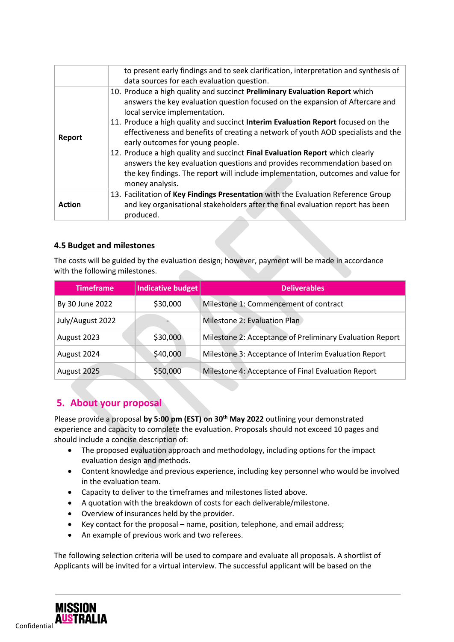|               | to present early findings and to seek clarification, interpretation and synthesis of<br>data sources for each evaluation question.                                                                                                                                                                                                                                                                                                                                                                                                                                                                                                                                              |
|---------------|---------------------------------------------------------------------------------------------------------------------------------------------------------------------------------------------------------------------------------------------------------------------------------------------------------------------------------------------------------------------------------------------------------------------------------------------------------------------------------------------------------------------------------------------------------------------------------------------------------------------------------------------------------------------------------|
| Report        | 10. Produce a high quality and succinct Preliminary Evaluation Report which<br>answers the key evaluation question focused on the expansion of Aftercare and<br>local service implementation.<br>11. Produce a high quality and succinct Interim Evaluation Report focused on the<br>effectiveness and benefits of creating a network of youth AOD specialists and the<br>early outcomes for young people.<br>12. Produce a high quality and succinct Final Evaluation Report which clearly<br>answers the key evaluation questions and provides recommendation based on<br>the key findings. The report will include implementation, outcomes and value for<br>money analysis. |
| <b>Action</b> | 13. Facilitation of Key Findings Presentation with the Evaluation Reference Group<br>and key organisational stakeholders after the final evaluation report has been<br>produced.                                                                                                                                                                                                                                                                                                                                                                                                                                                                                                |

## **4.5 Budget and milestones**

The costs will be guided by the evaluation design; however, payment will be made in accordance with the following milestones.

| <b>Timeframe</b> | Indicative budget | <b>Deliverables</b>                                      |
|------------------|-------------------|----------------------------------------------------------|
| By 30 June 2022  | \$30,000          | Milestone 1: Commencement of contract                    |
| July/August 2022 |                   | Milestone 2: Evaluation Plan                             |
| August 2023      | \$30,000          | Milestone 2: Acceptance of Preliminary Evaluation Report |
| August 2024      | \$40,000          | Milestone 3: Acceptance of Interim Evaluation Report     |
| August 2025      | \$50,000          | Milestone 4: Acceptance of Final Evaluation Report       |

## **5. About your proposal**

Please provide a proposal **by 5:00 pm (EST) on 30th May 2022** outlining your demonstrated experience and capacity to complete the evaluation. Proposals should not exceed 10 pages and should include a concise description of:

- The proposed evaluation approach and methodology, including options for the impact evaluation design and methods.
- Content knowledge and previous experience, including key personnel who would be involved in the evaluation team.
- Capacity to deliver to the timeframes and milestones listed above.
- A quotation with the breakdown of costs for each deliverable/milestone.
- Overview of insurances held by the provider.
- Key contact for the proposal name, position, telephone, and email address;
- An example of previous work and two referees.

The following selection criteria will be used to compare and evaluate all proposals. A shortlist of Applicants will be invited for a virtual interview. The successful applicant will be based on the